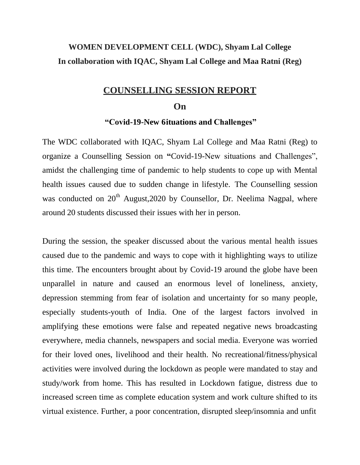### **WOMEN DEVELOPMENT CELL (WDC), Shyam Lal College In collaboration with IQAC, Shyam Lal College and Maa Ratni (Reg)**

#### **COUNSELLING SESSION REPORT**

#### **On**

#### **"Covid-19-New 6ituations and Challenges"**

The WDC collaborated with IQAC, Shyam Lal College and Maa Ratni (Reg) to organize a Counselling Session on **"**Covid-19-New situations and Challenges", amidst the challenging time of pandemic to help students to cope up with Mental health issues caused due to sudden change in lifestyle. The Counselling session was conducted on  $20<sup>th</sup>$  August,  $2020$  by Counsellor, Dr. Neelima Nagpal, where around 20 students discussed their issues with her in person.

During the session, the speaker discussed about the various mental health issues caused due to the pandemic and ways to cope with it highlighting ways to utilize this time. The encounters brought about by Covid-19 around the globe have been unparallel in nature and caused an enormous level of loneliness, anxiety, depression stemming from fear of isolation and uncertainty for so many people, especially students-youth of India. One of the largest factors involved in amplifying these emotions were false and repeated negative news broadcasting everywhere, media channels, newspapers and social media. Everyone was worried for their loved ones, livelihood and their health. No recreational/fitness/physical activities were involved during the lockdown as people were mandated to stay and study/work from home. This has resulted in Lockdown fatigue, distress due to increased screen time as complete education system and work culture shifted to its virtual existence. Further, a poor concentration, disrupted sleep/insomnia and unfit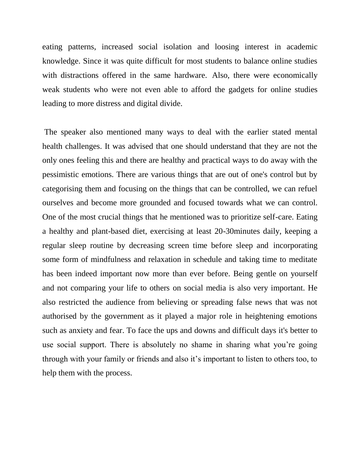eating patterns, increased social isolation and loosing interest in academic knowledge. Since it was quite difficult for most students to balance online studies with distractions offered in the same hardware. Also, there were economically weak students who were not even able to afford the gadgets for online studies leading to more distress and digital divide.

The speaker also mentioned many ways to deal with the earlier stated mental health challenges. It was advised that one should understand that they are not the only ones feeling this and there are healthy and practical ways to do away with the pessimistic emotions. There are various things that are out of one's control but by categorising them and focusing on the things that can be controlled, we can refuel ourselves and become more grounded and focused towards what we can control. One of the most crucial things that he mentioned was to prioritize self-care. Eating a healthy and plant-based diet, exercising at least 20-30minutes daily, keeping a regular sleep routine by decreasing screen time before sleep and incorporating some form of mindfulness and relaxation in schedule and taking time to meditate has been indeed important now more than ever before. Being gentle on yourself and not comparing your life to others on social media is also very important. He also restricted the audience from believing or spreading false news that was not authorised by the government as it played a major role in heightening emotions such as anxiety and fear. To face the ups and downs and difficult days it's better to use social support. There is absolutely no shame in sharing what you're going through with your family or friends and also it's important to listen to others too, to help them with the process.